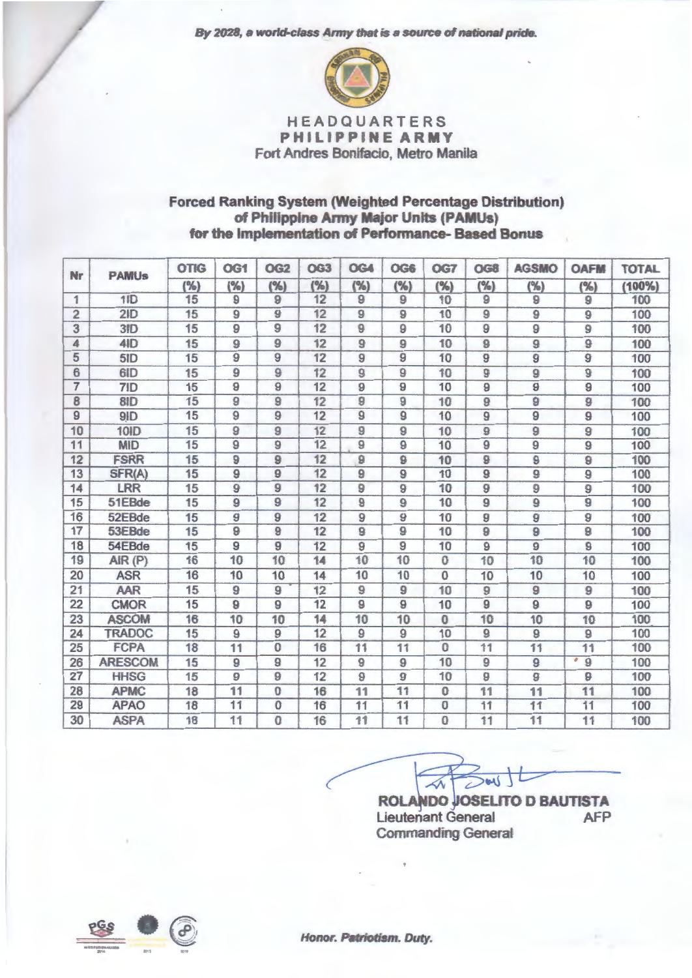*By* 2028, *a wotld-class* Army that *is* a source of national pride.



HEADQUARTERS PHILIPPINE ARMY Fort Andres Bonifacio, Metro Manila

## Forced Ranking System (Weighted Percentage Distribution) of Philippine Army Major Units (PAMUs) for the Implementation of Performance- Baaed Bonus

| Nr              | <b>PAMU<sub>s</sub></b> | <b>OTIG</b><br>(% ) | OG1<br>(%)      | <b>OG2</b><br>(%) | OG <sub>3</sub><br>(%) | <b>OG4</b><br>(%) | OG6<br>(%)     | OG7<br>(%)     | OG8<br>(%)     | <b>AGSMO</b><br>(%) | <b>OAFM</b><br>(%)  | <b>TOTAL</b><br>(100% |
|-----------------|-------------------------|---------------------|-----------------|-------------------|------------------------|-------------------|----------------|----------------|----------------|---------------------|---------------------|-----------------------|
|                 |                         |                     |                 |                   |                        |                   |                |                |                |                     |                     |                       |
| $\overline{2}$  | 2ID                     | 15                  | $\overline{9}$  | 9                 | 12                     | $\overline{9}$    | $\overline{9}$ | 10             | $\overline{9}$ | 9                   | 9                   | 100                   |
| 3               | 3ID                     | 15                  | 9               | 9                 | 12                     | 9                 | 9              | 10             | 9              | $\overline{9}$      | $\overline{9}$      | 100                   |
| 4               | 4ID                     | 15                  | $\overline{9}$  | 9                 | 12                     | $\overline{9}$    | 9              | 10             | $\overline{9}$ | 9                   | 9                   | 100                   |
| 5               | 5ID                     | 15                  | $\overline{9}$  | 9                 | 12                     | 9                 | 9              | 10             | 9              | 9                   | $\overline{9}$      | 100                   |
| 6               | 6ID                     | 15                  | 9               | $\overline{9}$    | 12                     | $\overline{9}$    | $\overline{9}$ | 10             | 9              | 9                   | $\overline{9}$      | 100                   |
| $\overline{7}$  | 7ID                     | 15                  | $\overline{9}$  | 9                 | 12                     | 9                 | $\overline{9}$ | 10             | $\overline{9}$ | 9                   | 9                   | 100                   |
| 8               | 8ID                     | 15                  | 9               | 9                 | 12                     | 9                 | 9              | 10             | 9              | 9                   | 9                   | 100                   |
| 9               | 9ID                     | 15                  | $\overline{9}$  | 9                 | 12                     | $\overline{9}$    | $\overline{9}$ | 10             | $\overline{9}$ | 9                   | 9                   | 100                   |
| 10              | 10ID                    | 15                  | $\overline{9}$  | 9                 | 12                     | 9                 | $\overline{9}$ | 10             | 9              | 9                   | 9                   | 100                   |
| 11              | <b>MID</b>              | 15                  | $\overline{9}$  | 9                 | $\overline{12}$        | $\overline{9}$    | $\overline{9}$ | 10             | $\overline{9}$ | 9                   | $\overline{9}$      | 100                   |
| 12              | <b>FSRR</b>             | 15                  | 9               | 9                 | 12                     | 9                 | 9              | 10             | 9              | 9                   | 9                   | 100                   |
| 13              | SFR(A)                  | 15                  | $\overline{9}$  | 9                 | 12                     | 9                 | $\overline{9}$ | 10             | 9              | 9                   | 9                   | 100                   |
| 14              | LRR                     | 15                  | $\overline{9}$  | 9                 | 12                     | 9                 | $\overline{9}$ | 10             | $\overline{9}$ | 9                   | 9                   | 100                   |
| 15              | 51EBde                  | 15                  | $\overline{9}$  | 9                 | 12                     | 9                 | 9              | 10             | $\overline{9}$ | $\overline{9}$      | 9                   | 100                   |
| 16              | 52EBde                  | 15                  | 9               | 9                 | 12                     | 9                 | 9              | 10             | 9              | 9                   | $\boldsymbol{9}$    | 100                   |
| 17              | 53EBde                  | 15                  | $\overline{9}$  | 9                 | 12                     | 9                 | 9              | 10             | $\overline{9}$ | 9                   | 9                   | 100                   |
| 18              | 54EBde                  | 15                  | $\overline{9}$  | 9                 | 12                     | $\overline{9}$    | $\overline{9}$ | 10             | 9              | 9                   | $\overline{9}$      | 100                   |
| 19              | AlR(P)                  | 16                  | 10              | 10                | 14                     | 10                | 10             | $\overline{0}$ | 10             | 10                  | 10                  | 100                   |
| 20              | <b>ASR</b>              | 16                  | 10              | 10                | 14                     | 10                | 10             | $\bf{0}$       | 10             | 10                  | 10                  | 100                   |
| 21              | <b>AAR</b>              | 15                  | 9               | 9                 | 12                     | $\overline{9}$    | $\overline{9}$ | 10             | 9              | 9                   | 9                   | 100                   |
| $\overline{22}$ | <b>CMOR</b>             | 15                  | $\overline{9}$  | 9                 | 12                     | $\overline{9}$    | $\overline{9}$ | 10             | $\overline{9}$ | 9                   | $\boldsymbol{9}$    | 100                   |
| 23              | <b>ASCOM</b>            | 16                  | 10              | 10                | 14                     | 10                | 10             | $\overline{0}$ | 10             | 10                  | 10                  | 100                   |
| 24              | <b>TRADOC</b>           | 15                  | $\overline{9}$  | $\overline{9}$    | 12                     | $\overline{9}$    | $\overline{9}$ | 10             | $\overline{9}$ | 9                   | $\overline{9}$      | 100                   |
| 25              | <b>FCPA</b>             | 18                  | 11              | $\overline{0}$    | 16                     | 11                | 11             | $\Omega$       | 11             | 11                  | 11                  | 100                   |
| 26              | <b>ARESCOM</b>          | 15                  | $\overline{9}$  | 9                 | 12                     | $\overline{9}$    | $\overline{9}$ | 10             | $\overline{9}$ | $\overline{9}$      | $\overline{9}$<br>o | 100                   |
| 27              | <b>HHSG</b>             | 15                  | 9               | 9                 | 12                     | $\mathbf{9}$      | 9              | 10             | 9              | 9                   | 9                   | 100                   |
| 28              | <b>APMC</b>             | 18                  | $\overline{11}$ | $\overline{0}$    | 16                     | 11                | 11             | $\bf{0}$       | 11             | 11                  | 11                  | 100                   |
| 29              | <b>APAO</b>             | 18                  | 11              | $\mathbf{0}$      | 16                     | 11                | 11             | $\overline{0}$ | 11             | 11                  | 11                  | 100                   |
| 30              | <b>ASPA</b>             | 18                  | 11              | 0                 | 16                     | 11                | 11             | $\Omega$       | 11             | 11                  | 11                  | 100                   |

 $\overline{\sim}$  $\prec$ 

**ROLANDO JOSELITO D BAUTISTA** Lieutenant General **AFP** Commanding General